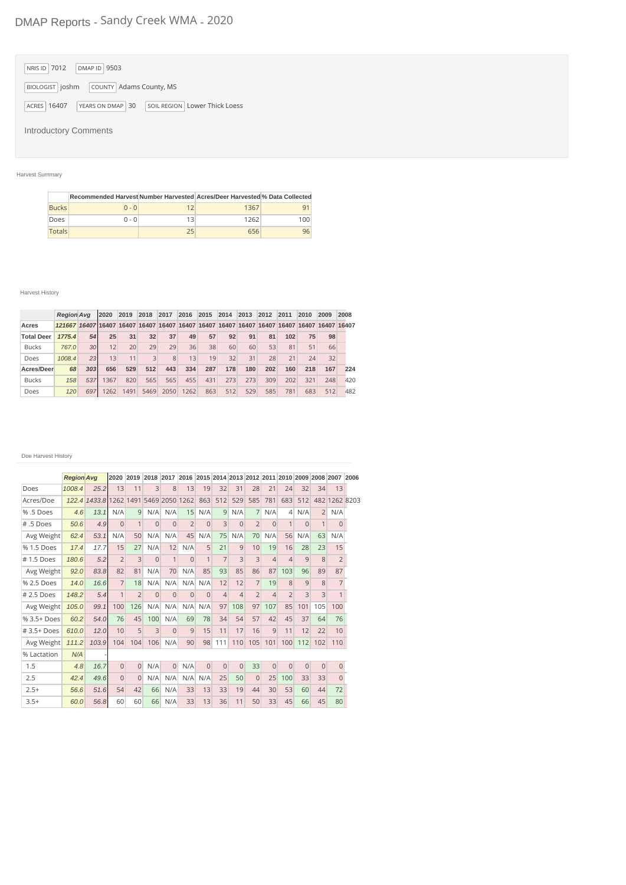# DMAP Reports - Sandy Creek WMA - 2020

| NRIS ID 7012<br>DMAP ID 9503                                       |
|--------------------------------------------------------------------|
| COUNTY Adams County, MS<br>BIOLOGIST   joshm                       |
| SOIL REGION   Lower Thick Loess<br>ACRES 16407<br>YEARS ON DMAP 30 |
| <b>Introductory Comments</b>                                       |

## Harvest Summary

|               | Recommended Harvest Number Harvested Acres/Deer Harvested % Data Collected |    |      |     |
|---------------|----------------------------------------------------------------------------|----|------|-----|
| <b>Bucks</b>  | $0 - 0$                                                                    |    | 1367 |     |
| Does          | $0 - 0$                                                                    | 13 | 1262 | 100 |
| <b>Totals</b> |                                                                            | 25 | 656  | 96  |

### Harvest History

|                   | <b>Region Avg</b>                                                                          |                 | 2020 | 2019 | 2018         | 2017 | 2016 | 2015 | 2014 | 2013 | 2012 | 2011 | 2010 | 2009 | 2008 |
|-------------------|--------------------------------------------------------------------------------------------|-----------------|------|------|--------------|------|------|------|------|------|------|------|------|------|------|
| Acres             | 121667 16407 16407 16407 16407 16407 16407 16407 16407 16407 16407 16407 16407 16407 16407 |                 |      |      |              |      |      |      |      |      |      |      |      |      |      |
| <b>Total Deer</b> | 1775.4                                                                                     | 54              | 25   | 31   | 32           | 37   | 49   | 57   | 92   | 91   | 81   | 102  | 75   | 98   |      |
| <b>Bucks</b>      | 767.0                                                                                      | 30 <sup>1</sup> | 12   | 20   | 29           | 29   | 36   | 38   | 60   | 60   | 53   | 81   | 51   | 66   |      |
| Does              | 1008.4                                                                                     | 23              | 13   | 11   | $\mathbf{a}$ | 8    | 13   | 19   | 32   | 31   | 28   | 21   | 24   | 32   |      |
| Acres/Deer        | 68                                                                                         | 303             | 656  | 529  | 512          | 443  | 334  | 287  | 178  | 180  | 202  | 160  | 218  | 167  | 224  |
| <b>Bucks</b>      | 158                                                                                        | 537             | 1367 | 820  | 565          | 565  | 455  | 431  | 273  | 273  | 309  | 202  | 321  | 248  | 420  |
| Does              | 120                                                                                        | 697             | 1262 | 1491 | 5469         | 2050 | 1262 | 863  | 512  | 529  | 585  | 781  | 683  | 512  | 482  |

#### Doe Harvest History

|                | <b>Region Ava</b> |                                       | 2020           |                |              |                | 2019 2018 2017 2016 2015 2014 2013 2012 2011 2010 2009 2008 2007 2006 |                |                |                |                |                |                |                |                |                |  |
|----------------|-------------------|---------------------------------------|----------------|----------------|--------------|----------------|-----------------------------------------------------------------------|----------------|----------------|----------------|----------------|----------------|----------------|----------------|----------------|----------------|--|
| Does           | 1008.4            | 25.2                                  | 13             | 11             | 3            | 8              | 13                                                                    | 19             | 32             | 31             | 28             | 21             | 24             | 32             | 34             | 13             |  |
| Acres/Doe      |                   | 122.4 1433.8 1262 1491 5469 2050 1262 |                |                |              |                |                                                                       | 863            | 512            | 529            | 585            | 781            | 683            | 512            |                | 482 1262 8203  |  |
| % .5 Does      | 4.6               | 13.1                                  | N/A            | 9              | N/A          | N/A            | 15                                                                    | N/A            | 9              | N/A            | 7              | N/A            | $\overline{4}$ | N/A            | $\overline{2}$ | N/A            |  |
| # .5 Does      | 50.6              | 4.9                                   | $\Omega$       | 1              | $\Omega$     | $\Omega$       | $\overline{2}$                                                        | $\Omega$       | 3              | $\Omega$       | $\overline{2}$ | $\Omega$       |                | $\Omega$       | 1              | $\Omega$       |  |
| Avg Weight     | 62.4              | 53.1                                  | N/A            | 50             | N/A          | N/A            | 45                                                                    | N/A            | 75             | N/A            | 70             | N/A            | 56             | N/A            | 63             | N/A            |  |
| % 1.5 Does     | 17.4              | 17.7                                  | 15             | 27             | N/A          | 12             | N/A                                                                   | 5              | 21             | 9              | 10             | 19             | 16             | 28             | 23             | 15             |  |
| $# 1.5$ Does   | 180.6             | 5.2                                   | $\overline{2}$ | 3              | $\Omega$     | $\mathbf{1}$   | $\Omega$                                                              | 1              | $\overline{7}$ | $\overline{3}$ | 3              | $\overline{4}$ | $\overline{4}$ | 9              | 8              | $\overline{2}$ |  |
| Avg Weight     | 92.0              | 83.8                                  | 82             | 81             | N/A          | 70             | N/A                                                                   | 85             | 93             | 85             | 86             | 87             | 103            | 96             | 89             | 87             |  |
| % 2.5 Does     | 14.0              | 16.6                                  | $\overline{7}$ | 18             | N/A          | N/A            | N/A                                                                   | N/A            | 12             | 12             | $\overline{7}$ | 19             | 8              | 9              | 8              | 7              |  |
| # 2.5 Does     | 148.2             | 5.4                                   | $\mathbf{1}$   | $\overline{2}$ | $\mathbf{0}$ | $\Omega$       | $\Omega$                                                              | $\Omega$       | $\overline{4}$ | $\overline{4}$ | $\overline{2}$ | $\overline{4}$ | $\overline{2}$ | 3              | 3              | $\mathbf{1}$   |  |
| Avg Weight     | 105.0             | 99.1                                  | 100            | 126            | N/A          | N/A            | N/A                                                                   | N/A            | 97             | 108            | 97             | 107            | 85             | 101            | 105            | 100            |  |
| $% 3.5 + Does$ | 60.2              | 54.0                                  | 76             | 45             | 100          | N/A            | 69                                                                    | 78             | 34             | 54             | 57             | 42             | 45             | 37             | 64             | 76             |  |
| $#3.5+Does$    | 610.0             | 12.0                                  | 10             | 5              | 3            | $\Omega$       | 9                                                                     | 15             | 11             | 17             | 16             | 9              | 11             | 12             | 22             | 10             |  |
| Avg Weight     | 111.2             | 103.9                                 | 104            | 104            | 106          | N/A            | 90                                                                    | 98             | 111            | 110            | 105            | 101            | 100            | 112            | 102            | 110            |  |
| % Lactation    | N/A               |                                       |                |                |              |                |                                                                       |                |                |                |                |                |                |                |                |                |  |
| 1.5            | 4.8               | 16.7                                  | $\overline{0}$ | $\overline{0}$ | N/A          | $\overline{0}$ | N/A                                                                   | $\overline{0}$ | $\overline{0}$ | $\overline{0}$ | 33             | $\overline{0}$ | $\overline{0}$ | $\overline{0}$ | $\overline{0}$ | $\overline{0}$ |  |
| 2.5            | 42.4              | 49.6                                  | $\Omega$       | $\Omega$       | N/A          | N/A            | N/A                                                                   | N/A            | 25             | 50             | $\overline{0}$ | 25             | 100            | 33             | 33             | $\overline{0}$ |  |
| $2.5+$         | 56.6              | 51.6                                  | 54             | 42             | 66           | N/A            | 33                                                                    | 13             | 33             | 19             | 44             | 30             | 53             | 60             | 44             | 72             |  |
| $3.5+$         | 60.0              | 56.8                                  | 60             | 60             | 66           | N/A            | 33                                                                    | 13             | 36             | 11             | 50             | 33             | 45             | 66             | 45             | 80             |  |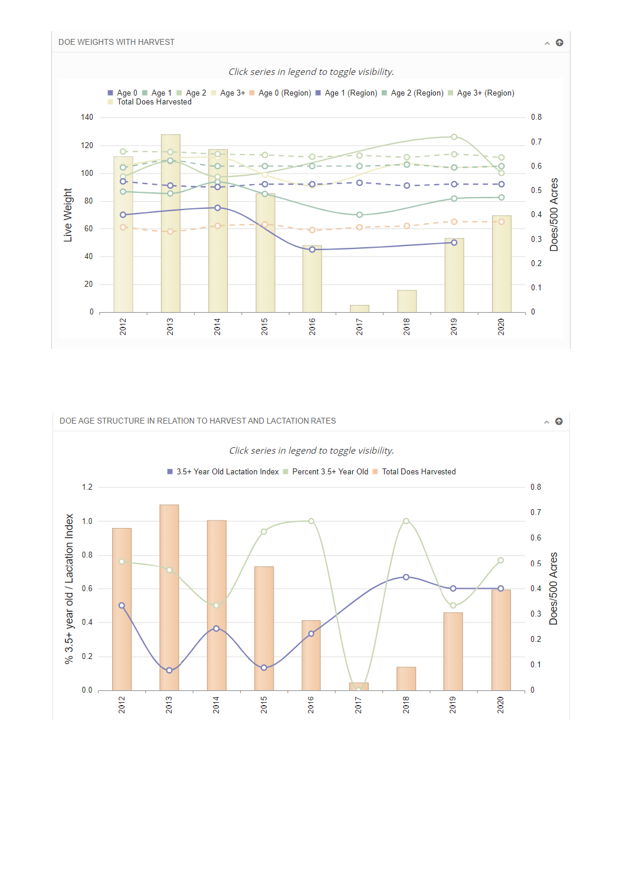



 $\sim$  0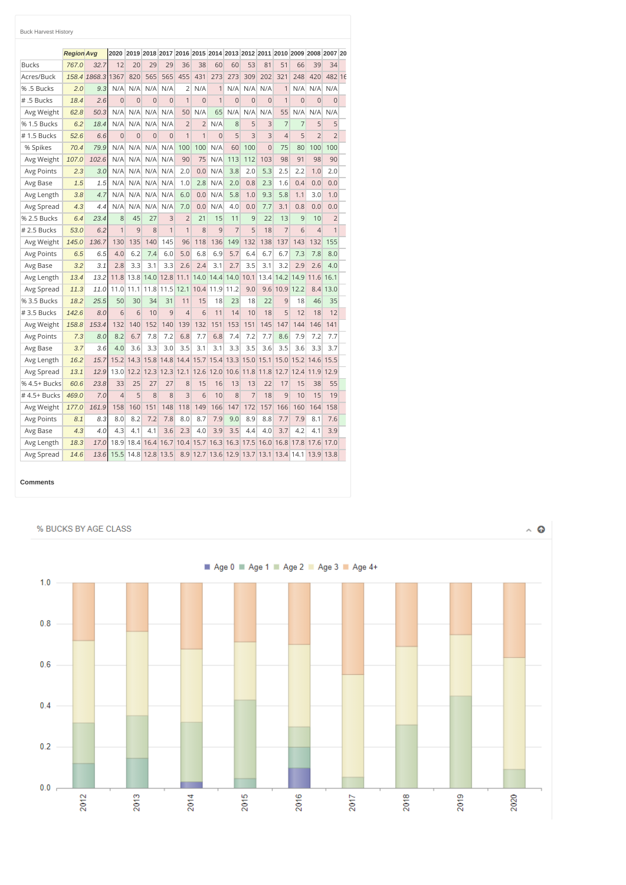|               | <b>Region Avg</b> |        | 2020           |          |                |                | 2019 2018 2017 2016 2015 2014 2013 2012 2011 2010 2009 2008 2007 20 |                |                |                |                              |                |                |          |                |                |  |
|---------------|-------------------|--------|----------------|----------|----------------|----------------|---------------------------------------------------------------------|----------------|----------------|----------------|------------------------------|----------------|----------------|----------|----------------|----------------|--|
| <b>Bucks</b>  | 767.0             | 32.7   | 12             | 20       | 29             | 29             | 36                                                                  | 38             | 60             | 60             | 53                           | 81             | 51             | 66       | 39             | 34             |  |
| Acres/Buck    | 158.4             | 1868.3 | 1367           | 820      | 565            | 565            | 455                                                                 | 431            | 273            | 273            | 309                          | 202            | 321            | 248      | 420            | 482 16         |  |
| %.5 Bucks     | 2.0               | 9.3    | N/A            | N/A      | N/A            | N/A            | $\overline{2}$                                                      | N/A            | 1              | N/A            | N/A                          | N/A            | $\mathbf{1}$   | N/A      | N/A            | N/A            |  |
| # .5 Bucks    | 18.4              | 2.6    | $\Omega$       | $\Omega$ | $\overline{0}$ | $\Omega$       | $\overline{1}$                                                      | $\Omega$       | $\overline{1}$ | $\overline{O}$ | $\Omega$                     | $\Omega$       | 1              | $\Omega$ | $\Omega$       | $\Omega$       |  |
| Avg Weight    | 62.8              | 50.3   | N/A            | N/A      | N/A            | N/A            | 50                                                                  | N/A            | 65             | N/A            | N/A                          | N/A            | 55             | N/A      | N/A            | N/A            |  |
| % 1.5 Bucks   | 6.2               | 18.4   | N/A            | N/A      | N/A            | N/A            | $\overline{2}$                                                      | $\overline{2}$ | N/A            | 8              | 5                            | 3              | 7              | 7        | 5              | 5              |  |
| #1.5 Bucks    | 52.6              | 6.6    | $\overline{0}$ | $\Omega$ | $\overline{0}$ | $\Omega$       | $\overline{1}$                                                      | $\overline{1}$ | $\Omega$       | 5              | $\overline{3}$               | 3              | $\overline{4}$ | 5        | $\overline{2}$ | $\overline{2}$ |  |
| % Spikes      | 70.4              | 79.9   | N/A            | N/A      | N/A            | N/A            | 100                                                                 | 100            | N/A            | 60             | 100                          | $\overline{0}$ | 75             | 80       | 100            | 100            |  |
| Avg Weight    | 107.0             | 102.6  | N/A            | N/A      | N/A            | N/A            | 90                                                                  | 75             | N/A            | 113            | 112                          | 103            | 98             | 91       | 98             | 90             |  |
| Avg Points    | 2.3               | 3.0    | N/A            | N/A      | N/A            | N/A            | 2.0                                                                 | 0.0            | N/A            | 3.8            | 2.0                          | 5.3            | 2.5            | 2.2      | 1.0            | 2.0            |  |
| Avg Base      | 1.5               | 1.5    | N/A            | N/A      | N/A            | N/A            | 1.0                                                                 | 2.8            | N/A            | 2.0            | 0.8                          | 2.3            | 1.6            | 0.4      | 0.0            | 0.0            |  |
| Avg Length    | 3.8               | 4.7    | N/A            | N/A      | N/A            | N/A            | 6.0                                                                 | 0.0            | N/A            | 5.8            | 1.0                          | 9.3            | 5.8            | 1.1      | 3.0            | 1.0            |  |
| Avg Spread    | 4.3               | 4.4    | N/A            | N/A      | N/A            | N/A            | 7.0                                                                 | 0.0            | N/A            | 4.0            | 0.0                          | 7.7            | 3.1            | 0.8      | 0.0            | 0.0            |  |
| % 2.5 Bucks   | 6.4               | 23.4   | 8              | 45       | 27             | 3              | $\overline{2}$                                                      | 21             | 15             | 11             | 9                            | 22             | 13             | 9        | 10             | $\overline{2}$ |  |
| $# 2.5$ Bucks | 53.0              | 6.2    | $\overline{1}$ | 9        | 8              | $\overline{1}$ | $\overline{1}$                                                      | 8              | 9              | $\overline{7}$ | 5                            | 18             | $\overline{7}$ | 6        | $\overline{4}$ | $\mathbf{1}$   |  |
| Avg Weight    | 145.0             | 136.7  | 130            | 135      | 140            | 145            | 96                                                                  | 118            | 136            | 149            | 132                          | 138            | 137            | 143      | 132            | 155            |  |
| Avg Points    | 6.5               | 6.5    | 4.0            | 6.2      | 7.4            | 6.0            | 5.0                                                                 | 6.8            | 6.9            | 5.7            | 6.4                          | 6.7            | 6.7            | 7.3      | 7.8            | 8.0            |  |
| Avg Base      | 3.2               | 3.1    | 2.8            | 3.3      | 3.1            | 3.3            | 2.6                                                                 | 2.4            | 3.1            | 2.7            | 3.5                          | 3.1            | 3.2            | 2.9      | 2.6            | 4.0            |  |
| Avg Length    | 13.4              | 13.2   | 11.8           | 13.8     | 14.0           | 12.8           | 11.1                                                                | 14.0           | 14.4           | 14.0           | 10.1                         | 13.4           | 14.2           | 14.9     | 11.6           | 16.1           |  |
| Avg Spread    | 11.3              | 11.0   | 11.0           | 11.1     | 11.8           | 11.5           | 12.1                                                                | 10.4           | 11.9           | 11.2           | 9.0                          | 9.6            | 10.9           | 12.2     | 8.4            | 13.0           |  |
| % 3.5 Bucks   | 18.2              | 25.5   | 50             | 30       | 34             | 31             | 11                                                                  | 15             | 18             | 23             | 18                           | 22             | 9              | 18       | 46             | 35             |  |
| $#3.5$ Bucks  | 142.6             | 8.0    | 6              | 6        | 10             | 9              | $\overline{4}$                                                      | 6              | 11             | 14             | 10                           | 18             | 5              | 12       | 18             | 12             |  |
| Avg Weight    | 158.8             | 153.4  | 132            | 140      | 152            | 140            | 139                                                                 | 132            | 151            | 153            | 151                          | 145            | 147            | 144      | 146            | 141            |  |
| Avg Points    | 7.3               | 8.0    | 8.2            | 6.7      | 7.8            | 7.2            | 6.8                                                                 | 7.7            | 6.8            | 7.4            | 7.2                          | 7.7            | 8.6            | 7.9      | 7.2            | 7.7            |  |
| Avg Base      | 3.7               | 3.6    | 4.0            | 3.6      | 3.3            | 3.0            | 3.5                                                                 | 3.1            | 3.1            | 3.3            | 3.5                          | 3.6            | 3.5            | 3.6      | 3.3            | 3.7            |  |
| Avg Length    | 16.2              | 15.7   | 15.2           | 14.3     | 15.8           | 14.8           | 14.4                                                                | 15.7           | 15.4           | 13.3           | 15.0                         | 15.1           | 15.0           | 15.2     | 14.6           | 15.5           |  |
| Avg Spread    | 13.1              | 12.9   | 13.0           | 12.2     | 12.3           | 12.3           | 12.1                                                                | 12.6           | 12.0           | 10.6           | 11.8                         | 11.8           | 12.7           | 12.4     | 11.9           | 12.9           |  |
| % 4.5+ Bucks  | 60.6              | 23.8   | 33             | 25       | 27             | 27             | 8                                                                   | 15             | 16             | 13             | 13                           | 22             | 17             | 15       | 38             | 55             |  |
| #4.5+ Bucks   | 469.0             | 7.0    | $\overline{4}$ | 5        | 8              | 8              | 3                                                                   | 6              | 10             | 8              | 7                            | 18             | 9              | 10       | 15             | 19             |  |
| Avg Weight    | 177.0             | 161.9  | 158            | 160      | 151            | 148            | 118                                                                 | 149            | 166            | 147            | 172                          | 157            | 166            | 160      | 164            | 158            |  |
| Avg Points    | 8.1               | 8.3    | 8.0            | 8.2      | 7.2            | 7.8            | 8.0                                                                 | 8.7            | 7.9            | 9.0            | 8.9                          | 8.8            | 7.7            | 7.9      | 8.1            | 7.6            |  |
| Avg Base      | 4.3               | 4.0    | 4.3            | 4.1      | 4.1            | 3.6            | 2.3                                                                 | 4.0            | 3.9            | 3.5            | 4.4                          | 4.0            | 3.7            | 4.2      | 4.1            | 3.9            |  |
| Avg Length    | 18.3              | 17.0   | 18.9           | 18.4     | 16.4           | 16.7           | 10.4                                                                | 15.7           | 16.3           | 16.3           | 17.5                         | 16.0           | 16.8           | 17.8     | 17.6           | 17.0           |  |
| Avg Spread    | 14.6              | 13.6   | 15.5           |          | 14.8 12.8      | 13.5           |                                                                     |                |                |                | 8.9 12.7 13.6 12.9 13.7 13.1 |                | 13.4 14.1      |          |                | 13.9 13.8      |  |

#### **Comments**